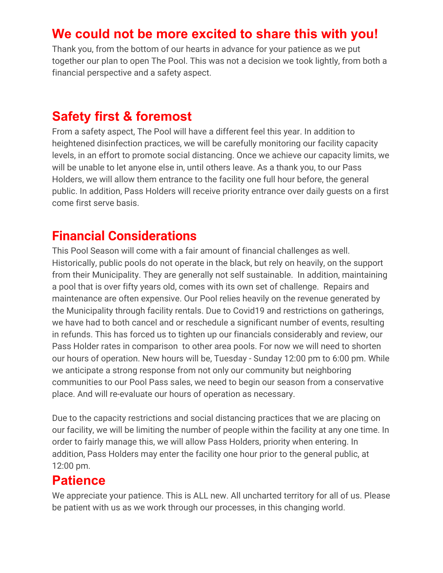# **We could not be more excited to share this with you!**

Thank you, from the bottom of our hearts in advance for your patience as we put together our plan to open The Pool. This was not a decision we took lightly, from both a financial perspective and a safety aspect.

# **Safety first & foremost**

From a safety aspect, The Pool will have a different feel this year. In addition to heightened disinfection practices, we will be carefully monitoring our facility capacity levels, in an effort to promote social distancing. Once we achieve our capacity limits, we will be unable to let anyone else in, until others leave. As a thank you, to our Pass Holders, we will allow them entrance to the facility one full hour before, the general public. In addition, Pass Holders will receive priority entrance over daily guests on a first come first serve basis.

### **Financial Considerations**

This Pool Season will come with a fair amount of financial challenges as well. Historically, public pools do not operate in the black, but rely on heavily, on the support from their Municipality. They are generally not self sustainable. In addition, maintaining a pool that is over fifty years old, comes with its own set of challenge. Repairs and maintenance are often expensive. Our Pool relies heavily on the revenue generated by the Municipality through facility rentals. Due to Covid19 and restrictions on gatherings, we have had to both cancel and or reschedule a significant number of events, resulting in refunds. This has forced us to tighten up our financials considerably and review, our Pass Holder rates in comparison to other area pools. For now we will need to shorten our hours of operation. New hours will be, Tuesday - Sunday 12:00 pm to 6:00 pm. While we anticipate a strong response from not only our community but neighboring communities to our Pool Pass sales, we need to begin our season from a conservative place. And will re-evaluate our hours of operation as necessary.

Due to the capacity restrictions and social distancing practices that we are placing on our facility, we will be limiting the number of people within the facility at any one time. In order to fairly manage this, we will allow Pass Holders, priority when entering. In addition, Pass Holders may enter the facility one hour prior to the general public, at 12:00 pm.

### **Patience**

We appreciate your patience. This is ALL new. All uncharted territory for all of us. Please be patient with us as we work through our processes, in this changing world.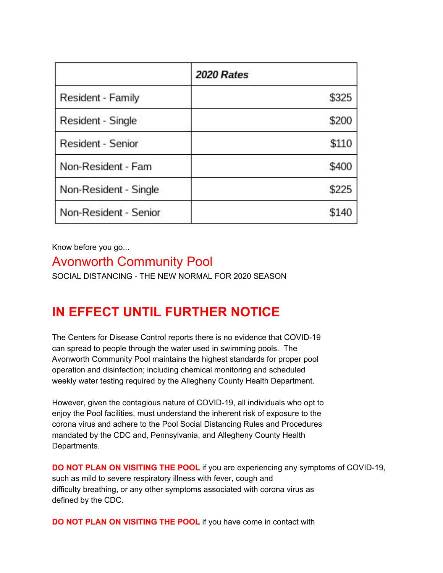|                       | 2020 Rates |       |
|-----------------------|------------|-------|
| Resident - Family     |            | \$325 |
| Resident - Single     |            | \$200 |
| Resident - Senior     |            | \$110 |
| Non-Resident - Fam    |            | \$400 |
| Non-Resident - Single |            | \$225 |
| Non-Resident - Senior |            | \$140 |

Know before you go...

### Avonworth Community Pool

SOCIAL DISTANCING - THE NEW NORMAL FOR 2020 SEASON

# **IN EFFECT UNTIL FURTHER NOTICE**

The Centers for Disease Control reports there is no evidence that COVID-19 can spread to people through the water used in swimming pools. The Avonworth Community Pool maintains the highest standards for proper pool operation and disinfection; including chemical monitoring and scheduled weekly water testing required by the Allegheny County Health Department.

However, given the contagious nature of COVID-19, all individuals who opt to enjoy the Pool facilities, must understand the inherent risk of exposure to the corona virus and adhere to the Pool Social Distancing Rules and Procedures mandated by the CDC and, Pennsylvania, and Allegheny County Health Departments.

**DO NOT PLAN ON VISITING THE POOL** if you are experiencing any symptoms of COVID-19, such as mild to severe respiratory illness with fever, cough and difficulty breathing, or any other symptoms associated with corona virus as defined by the CDC.

**DO NOT PLAN ON VISITING THE POOL** if you have come in contact with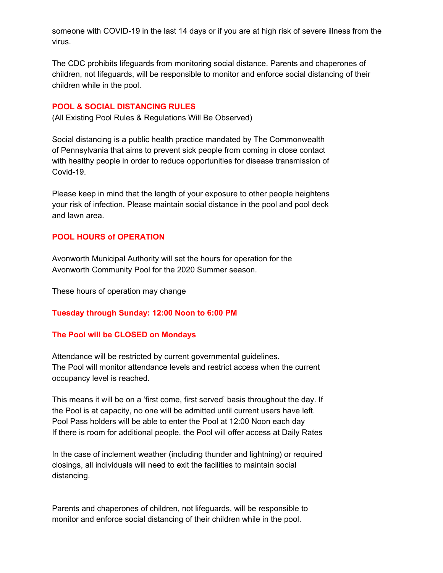someone with COVID-19 in the last 14 days or if you are at high risk of severe illness from the virus.

The CDC prohibits lifeguards from monitoring social distance. Parents and chaperones of children, not lifeguards, will be responsible to monitor and enforce social distancing of their children while in the pool.

#### **POOL & SOCIAL DISTANCING RULES**

(All Existing Pool Rules & Regulations Will Be Observed)

Social distancing is a public health practice mandated by The Commonwealth of Pennsylvania that aims to prevent sick people from coming in close contact with healthy people in order to reduce opportunities for disease transmission of Covid-19.

Please keep in mind that the length of your exposure to other people heightens your risk of infection. Please maintain social distance in the pool and pool deck and lawn area.

#### **POOL HOURS of OPERATION**

Avonworth Municipal Authority will set the hours for operation for the Avonworth Community Pool for the 2020 Summer season.

These hours of operation may change

**Tuesday through Sunday: 12:00 Noon to 6:00 PM**

#### **The Pool will be CLOSED on Mondays**

Attendance will be restricted by current governmental guidelines. The Pool will monitor attendance levels and restrict access when the current occupancy level is reached.

This means it will be on a 'first come, first served' basis throughout the day. If the Pool is at capacity, no one will be admitted until current users have left. Pool Pass holders will be able to enter the Pool at 12:00 Noon each day If there is room for additional people, the Pool will offer access at Daily Rates

In the case of inclement weather (including thunder and lightning) or required closings, all individuals will need to exit the facilities to maintain social distancing.

Parents and chaperones of children, not lifeguards, will be responsible to monitor and enforce social distancing of their children while in the pool.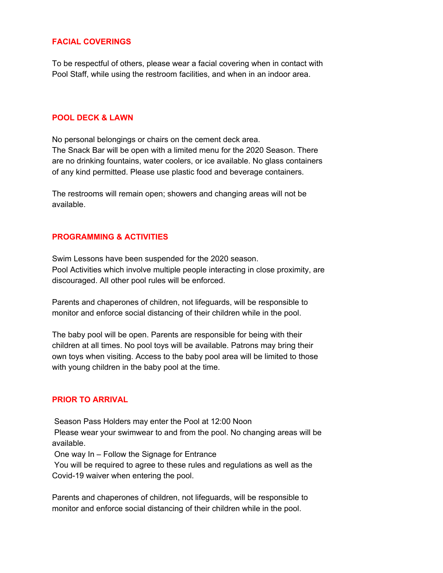#### **FACIAL COVERINGS**

To be respectful of others, please wear a facial covering when in contact with Pool Staff, while using the restroom facilities, and when in an indoor area.

#### **POOL DECK & LAWN**

No personal belongings or chairs on the cement deck area. The Snack Bar will be open with a limited menu for the 2020 Season. There are no drinking fountains, water coolers, or ice available. No glass containers of any kind permitted. Please use plastic food and beverage containers.

The restrooms will remain open; showers and changing areas will not be available.

#### **PROGRAMMING & ACTIVITIES**

Swim Lessons have been suspended for the 2020 season. Pool Activities which involve multiple people interacting in close proximity, are discouraged. All other pool rules will be enforced.

Parents and chaperones of children, not lifeguards, will be responsible to monitor and enforce social distancing of their children while in the pool.

The baby pool will be open. Parents are responsible for being with their children at all times. No pool toys will be available. Patrons may bring their own toys when visiting. Access to the baby pool area will be limited to those with young children in the baby pool at the time.

#### **PRIOR TO ARRIVAL**

Season Pass Holders may enter the Pool at 12:00 Noon Please wear your swimwear to and from the pool. No changing areas will be available.

One way In – Follow the Signage for Entrance

You will be required to agree to these rules and regulations as well as the Covid-19 waiver when entering the pool.

Parents and chaperones of children, not lifeguards, will be responsible to monitor and enforce social distancing of their children while in the pool.